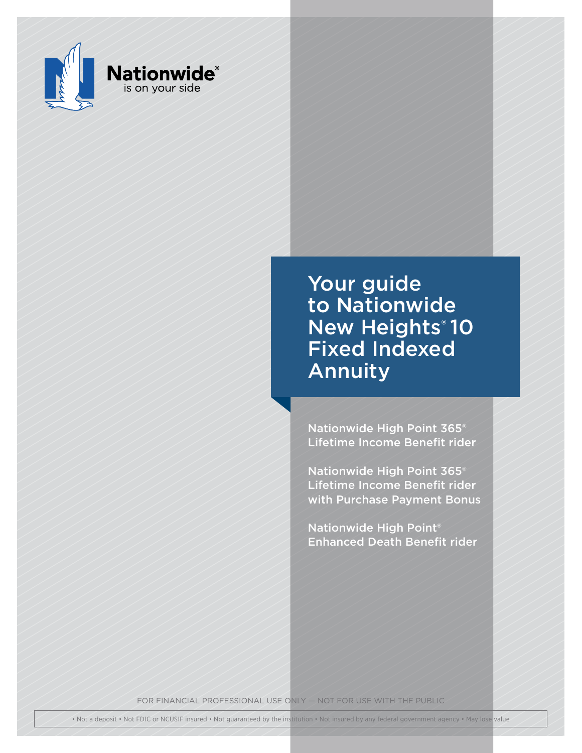

Your guide to Nationwide **New Heights® 10** Fixed Indexed Annuity

Nationwide High Point 365® Lifetime Income Benefit rider

Nationwide High Point 365® Lifetime Income Benefit rider with Purchase Payment Bonus

Nationwide High Point® Enhanced Death Benefit rider

FOR FINANCIAL PROFESSIONAL USE ONLY — NOT FOR USE WITH THE PUBLIC

• Not a deposit • Not FDIC or NCUSIF insured • Not guaranteed by the institution • Not insured by any federal government agency • May lose value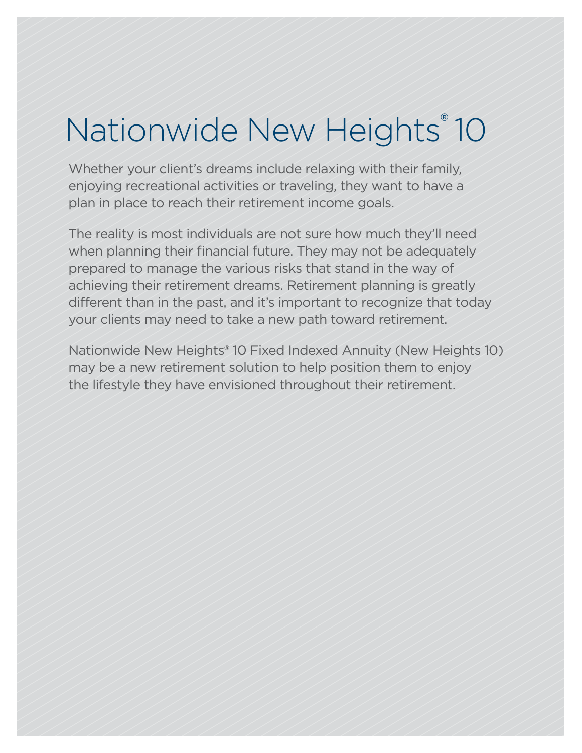# Nationwide New Heights®10

Whether your client's dreams include relaxing with their family, enjoying recreational activities or traveling, they want to have a plan in place to reach their retirement income goals.

The reality is most individuals are not sure how much they'll need when planning their financial future. They may not be adequately prepared to manage the various risks that stand in the way of achieving their retirement dreams. Retirement planning is greatly different than in the past, and it's important to recognize that today your clients may need to take a new path toward retirement.

Nationwide New Heights® 10 Fixed Indexed Annuity (New Heights 10) may be a new retirement solution to help position them to enjoy the lifestyle they have envisioned throughout their retirement.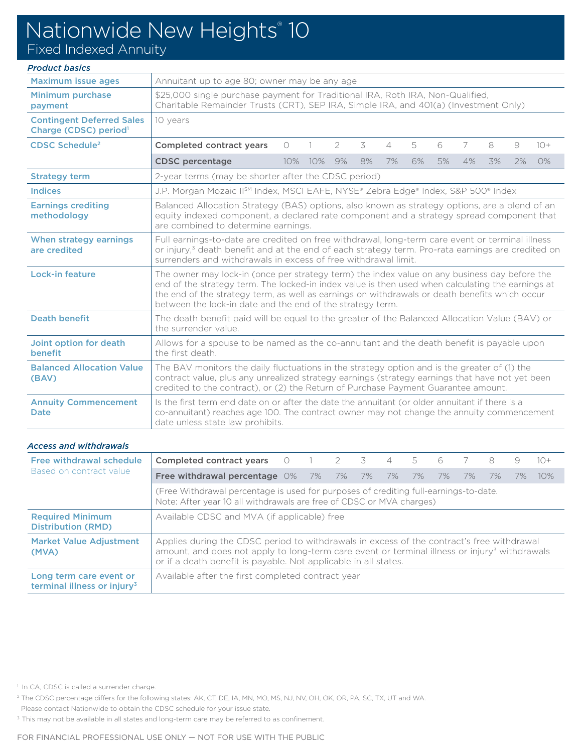## Nationwide New Heights<sup>®</sup> 10

Fixed Indexed Annuity

### *Product basics*

| <b>Maximum issue ages</b>                                             | Annuitant up to age 80; owner may be any age                                                                                                                                                                                                                                                                                                                       |            |     |                |    |                |    |    |    |    |    |       |
|-----------------------------------------------------------------------|--------------------------------------------------------------------------------------------------------------------------------------------------------------------------------------------------------------------------------------------------------------------------------------------------------------------------------------------------------------------|------------|-----|----------------|----|----------------|----|----|----|----|----|-------|
| <b>Minimum purchase</b><br>payment                                    | \$25,000 single purchase payment for Traditional IRA, Roth IRA, Non-Qualified,<br>Charitable Remainder Trusts (CRT), SEP IRA, Simple IRA, and 401(a) (Investment Only)                                                                                                                                                                                             |            |     |                |    |                |    |    |    |    |    |       |
| <b>Contingent Deferred Sales</b><br>Charge (CDSC) period <sup>1</sup> | 10 years                                                                                                                                                                                                                                                                                                                                                           |            |     |                |    |                |    |    |    |    |    |       |
| <b>CDSC Schedule<sup>2</sup></b>                                      | <b>Completed contract years</b>                                                                                                                                                                                                                                                                                                                                    | $\bigcirc$ |     | $\overline{2}$ | 3  | $\overline{4}$ | 5  | 6  | 7  | 8  | 9  | $10+$ |
|                                                                       | <b>CDSC</b> percentage                                                                                                                                                                                                                                                                                                                                             | 10%        | 10% | 9%             | 8% | 7%             | 6% | 5% | 4% | 3% | 2% | O%    |
| <b>Strategy term</b>                                                  | 2-year terms (may be shorter after the CDSC period)                                                                                                                                                                                                                                                                                                                |            |     |                |    |                |    |    |    |    |    |       |
| <b>Indices</b>                                                        | J.P. Morgan Mozaic IISM Index, MSCI EAFE, NYSE® Zebra Edge® Index, S&P 500® Index                                                                                                                                                                                                                                                                                  |            |     |                |    |                |    |    |    |    |    |       |
| <b>Earnings crediting</b><br>methodology                              | Balanced Allocation Strategy (BAS) options, also known as strategy options, are a blend of an<br>equity indexed component, a declared rate component and a strategy spread component that<br>are combined to determine earnings.                                                                                                                                   |            |     |                |    |                |    |    |    |    |    |       |
| When strategy earnings<br>are credited                                | Full earnings-to-date are credited on free withdrawal, long-term care event or terminal illness<br>or injury, <sup>3</sup> death benefit and at the end of each strategy term. Pro-rata earnings are credited on<br>surrenders and withdrawals in excess of free withdrawal limit.                                                                                 |            |     |                |    |                |    |    |    |    |    |       |
| <b>Lock-in feature</b>                                                | The owner may lock-in (once per strategy term) the index value on any business day before the<br>end of the strategy term. The locked-in index value is then used when calculating the earnings at<br>the end of the strategy term, as well as earnings on withdrawals or death benefits which occur<br>between the lock-in date and the end of the strategy term. |            |     |                |    |                |    |    |    |    |    |       |
| <b>Death benefit</b>                                                  | The death benefit paid will be equal to the greater of the Balanced Allocation Value (BAV) or<br>the surrender value                                                                                                                                                                                                                                               |            |     |                |    |                |    |    |    |    |    |       |
| Joint option for death<br>benefit                                     | Allows for a spouse to be named as the co-annuitant and the death benefit is payable upon<br>the first death.                                                                                                                                                                                                                                                      |            |     |                |    |                |    |    |    |    |    |       |
| <b>Balanced Allocation Value</b><br>(BAV)                             | The BAV monitors the daily fluctuations in the strategy option and is the greater of (1) the<br>contract value, plus any unrealized strategy earnings (strategy earnings that have not yet been<br>credited to the contract), or (2) the Return of Purchase Payment Guarantee amount.                                                                              |            |     |                |    |                |    |    |    |    |    |       |
| <b>Annuity Commencement</b><br><b>Date</b>                            | Is the first term end date on or after the date the annuitant (or older annuitant if there is a<br>co-annuitant) reaches age 100. The contract owner may not change the annuity commencement<br>date unless state law prohibits.                                                                                                                                   |            |     |                |    |                |    |    |    |    |    |       |

#### *Access and withdrawals*

| Free withdrawal schedule<br>Based on contract value                | Completed contract years                                                                                                                                                                                                                                                  | $\bigcirc$ |  | $\overline{2}$ | 3  | $\overline{\mathcal{A}}$ | 5  | 6  |    | 8  | 9  | $10+$ |
|--------------------------------------------------------------------|---------------------------------------------------------------------------------------------------------------------------------------------------------------------------------------------------------------------------------------------------------------------------|------------|--|----------------|----|--------------------------|----|----|----|----|----|-------|
|                                                                    | <b>Free withdrawal percentage 0% 7% 7%</b>                                                                                                                                                                                                                                |            |  |                | 7% | 7%                       | 7% | 7% | 7% | 7% | 7% | 10%   |
|                                                                    | (Free Withdrawal percentage is used for purposes of crediting full-earnings-to-date.<br>Note: After year 10 all withdrawals are free of CDSC or MVA charges)                                                                                                              |            |  |                |    |                          |    |    |    |    |    |       |
| <b>Required Minimum</b><br><b>Distribution (RMD)</b>               | Available CDSC and MVA (if applicable) free                                                                                                                                                                                                                               |            |  |                |    |                          |    |    |    |    |    |       |
| <b>Market Value Adjustment</b><br>(MVA)                            | Applies during the CDSC period to withdrawals in excess of the contract's free withdrawal<br>amount, and does not apply to long-term care event or terminal illness or injury <sup>3</sup> withdrawals<br>or if a death benefit is payable. Not applicable in all states. |            |  |                |    |                          |    |    |    |    |    |       |
| Long term care event or<br>terminal illness or injury <sup>3</sup> | Available after the first completed contract year                                                                                                                                                                                                                         |            |  |                |    |                          |    |    |    |    |    |       |

<sup>1</sup> In CA, CDSC is called a surrender charge.

2 The CDSC percentage differs for the following states: AK, CT, DE, IA, MN, MO, MS, NJ, NV, OH, OK, OR, PA, SC, TX, UT and WA.

Please contact Nationwide to obtain the CDSC schedule for your issue state.

<sup>3</sup> This may not be available in all states and long-term care may be referred to as confinement.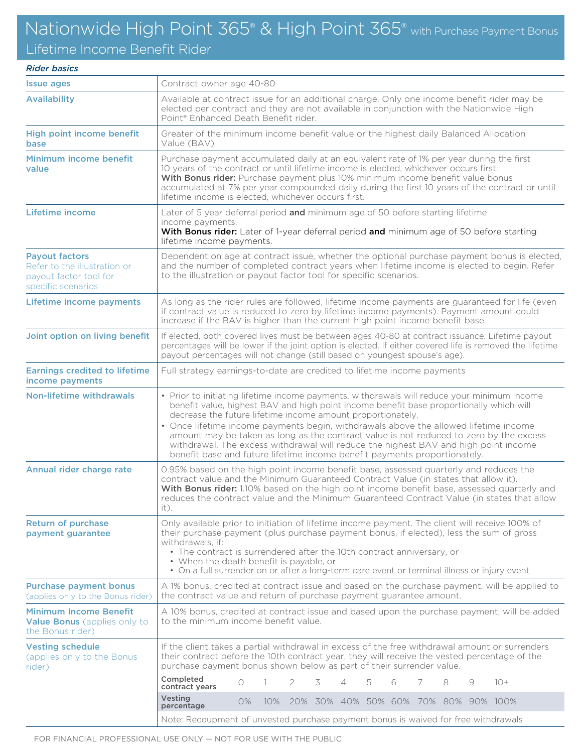### Nationwide High Point 365<sup>®</sup> & High Point 365<sup>®</sup> with Purchase Payment Bonus

Lifetime Income Benefit Rider

#### *Rider basics*

| <b>Issue ages</b>                                                                                     | Contract owner age 40-80                                                                                                                                                                                                                                                                                                                                                                                                                                                                                                                                                                                    |  |  |  |  |  |  |  |  |  |  |
|-------------------------------------------------------------------------------------------------------|-------------------------------------------------------------------------------------------------------------------------------------------------------------------------------------------------------------------------------------------------------------------------------------------------------------------------------------------------------------------------------------------------------------------------------------------------------------------------------------------------------------------------------------------------------------------------------------------------------------|--|--|--|--|--|--|--|--|--|--|
| <b>Availability</b>                                                                                   | Available at contract issue for an additional charge. Only one income benefit rider may be<br>elected per contract and they are not available in conjunction with the Nationwide High<br>Point <sup>®</sup> Enhanced Death Benefit rider.                                                                                                                                                                                                                                                                                                                                                                   |  |  |  |  |  |  |  |  |  |  |
| High point income benefit<br>base                                                                     | Greater of the minimum income benefit value or the highest daily Balanced Allocation<br>Value (BAV)                                                                                                                                                                                                                                                                                                                                                                                                                                                                                                         |  |  |  |  |  |  |  |  |  |  |
| Minimum income benefit<br>value                                                                       | Purchase payment accumulated daily at an equivalent rate of 1% per year during the first<br>10 years of the contract or until lifetime income is elected, whichever occurs first.<br>With Bonus rider: Purchase payment plus 10% minimum income benefit value bonus<br>accumulated at 7% per year compounded daily during the first 10 years of the contract or until<br>lifetime income is elected, whichever occurs first.                                                                                                                                                                                |  |  |  |  |  |  |  |  |  |  |
| Lifetime income                                                                                       | Later of 5 year deferral period and minimum age of 50 before starting lifetime<br>income payments.<br>With Bonus rider: Later of 1-year deferral period and minimum age of 50 before starting<br>lifetime income payments.                                                                                                                                                                                                                                                                                                                                                                                  |  |  |  |  |  |  |  |  |  |  |
| <b>Payout factors</b><br>Refer to the illustration or<br>payout factor tool for<br>specific scenarios | Dependent on age at contract issue, whether the optional purchase payment bonus is elected,<br>and the number of completed contract years when lifetime income is elected to begin. Refer<br>to the illustration or payout factor tool for specific scenarios.                                                                                                                                                                                                                                                                                                                                              |  |  |  |  |  |  |  |  |  |  |
| Lifetime income payments                                                                              | As long as the rider rules are followed, lifetime income payments are guaranteed for life (even<br>if contract value is reduced to zero by lifetime income payments). Payment amount could<br>increase if the BAV is higher than the current high point income benefit base.                                                                                                                                                                                                                                                                                                                                |  |  |  |  |  |  |  |  |  |  |
| Joint option on living benefit                                                                        | If elected, both covered lives must be between ages 40-80 at contract issuance. Lifetime payout<br>percentages will be lower if the joint option is elected. If either covered life is removed the lifetime<br>payout percentages will not change (still based on youngest spouse's age).                                                                                                                                                                                                                                                                                                                   |  |  |  |  |  |  |  |  |  |  |
| <b>Earnings credited to lifetime</b><br>income payments                                               | Full strategy earnings-to-date are credited to lifetime income payments                                                                                                                                                                                                                                                                                                                                                                                                                                                                                                                                     |  |  |  |  |  |  |  |  |  |  |
| Non-lifetime withdrawals                                                                              | • Prior to initiating lifetime income payments, withdrawals will reduce your minimum income<br>benefit value, highest BAV and high point income benefit base proportionally which will<br>decrease the future lifetime income amount proportionately.<br>• Once lifetime income payments begin, withdrawals above the allowed lifetime income<br>amount may be taken as long as the contract value is not reduced to zero by the excess<br>withdrawal. The excess withdrawal will reduce the highest BAV and high point income<br>benefit base and future lifetime income benefit payments proportionately. |  |  |  |  |  |  |  |  |  |  |
| Annual rider charge rate                                                                              | 0.95% based on the high point income benefit base, assessed quarterly and reduces the<br>contract value and the Minimum Guaranteed Contract Value (in states that allow it).<br>With Bonus rider: 1.10% based on the high point income benefit base, assessed quarterly and<br>reduces the contract value and the Minimum Guaranteed Contract Value (in states that allow<br>it).                                                                                                                                                                                                                           |  |  |  |  |  |  |  |  |  |  |
| <b>Return of purchase</b><br>payment guarantee                                                        | Only available prior to initiation of lifetime income payment. The client will receive 100% of<br>their purchase payment (plus purchase payment bonus, if elected), less the sum of gross<br>withdrawals, if:<br>• The contract is surrendered after the 10th contract anniversary, or<br>• When the death benefit is payable, or<br>• On a full surrender on or after a long-term care event or terminal illness or injury event                                                                                                                                                                           |  |  |  |  |  |  |  |  |  |  |
| <b>Purchase payment bonus</b><br>(applies only to the Bonus rider)                                    | A 1% bonus, credited at contract issue and based on the purchase payment, will be applied to<br>the contract value and return of purchase payment guarantee amount.                                                                                                                                                                                                                                                                                                                                                                                                                                         |  |  |  |  |  |  |  |  |  |  |
| <b>Minimum Income Benefit</b><br>Value Bonus (applies only to<br>the Bonus rider)                     | A 10% bonus, credited at contract issue and based upon the purchase payment, will be added<br>to the minimum income benefit value.                                                                                                                                                                                                                                                                                                                                                                                                                                                                          |  |  |  |  |  |  |  |  |  |  |
| <b>Vesting schedule</b><br>(applies only to the Bonus<br>rider)                                       | If the client takes a partial withdrawal in excess of the free withdrawal amount or surrenders<br>their contract before the 10th contract year, they will receive the vested percentage of the<br>purchase payment bonus shown below as part of their surrender value.                                                                                                                                                                                                                                                                                                                                      |  |  |  |  |  |  |  |  |  |  |
|                                                                                                       | Completed<br>$10+$<br>$\bigcirc$<br>2<br>3<br>4<br>5<br>6<br>8<br>9<br>7<br>contract years                                                                                                                                                                                                                                                                                                                                                                                                                                                                                                                  |  |  |  |  |  |  |  |  |  |  |
|                                                                                                       | Vesting<br>20% 30% 40% 50% 60% 70% 80% 90% 100%<br>$O\%$<br>$10\%$<br>percentage                                                                                                                                                                                                                                                                                                                                                                                                                                                                                                                            |  |  |  |  |  |  |  |  |  |  |
|                                                                                                       | Note: Recoupment of unvested purchase payment bonus is waived for free withdrawals                                                                                                                                                                                                                                                                                                                                                                                                                                                                                                                          |  |  |  |  |  |  |  |  |  |  |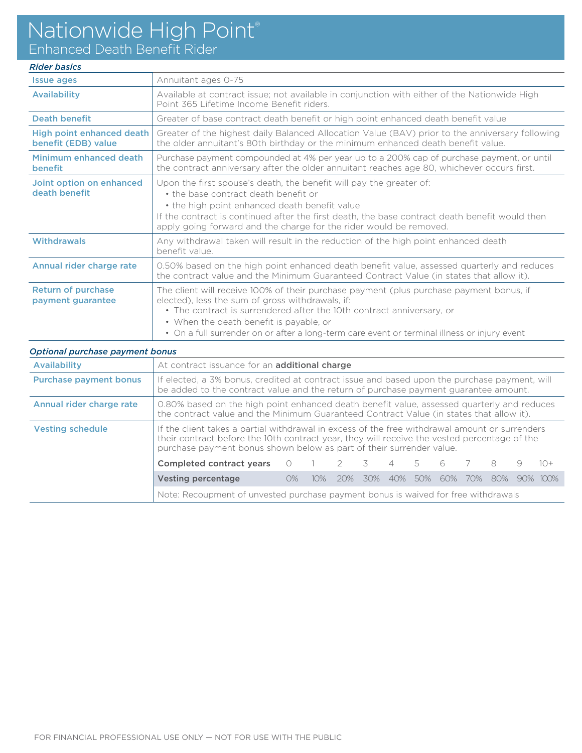### Nationwide High Point®

Enhanced Death Benefit Rider

### *Rider basics*

| <b>Issue ages</b>                                | Annuitant ages 0-75                                                                                                                                                                                                                                                                                                                                             |
|--------------------------------------------------|-----------------------------------------------------------------------------------------------------------------------------------------------------------------------------------------------------------------------------------------------------------------------------------------------------------------------------------------------------------------|
| <b>Availability</b>                              | Available at contract issue; not available in conjunction with either of the Nationwide High<br>Point 365 Lifetime Income Benefit riders.                                                                                                                                                                                                                       |
| <b>Death benefit</b>                             | Greater of base contract death benefit or high point enhanced death benefit value                                                                                                                                                                                                                                                                               |
| High point enhanced death<br>benefit (EDB) value | Greater of the highest daily Balanced Allocation Value (BAV) prior to the anniversary following<br>the older annuitant's 80th birthday or the minimum enhanced death benefit value.                                                                                                                                                                             |
| Minimum enhanced death<br><b>benefit</b>         | Purchase payment compounded at 4% per year up to a 200% cap of purchase payment, or until<br>the contract anniversary after the older annuitant reaches age 80, whichever occurs first.                                                                                                                                                                         |
| Joint option on enhanced<br>death benefit        | Upon the first spouse's death, the benefit will pay the greater of:<br>• the base contract death benefit or<br>• the high point enhanced death benefit value<br>If the contract is continued after the first death, the base contract death benefit would then<br>apply going forward and the charge for the rider would be removed.                            |
| Withdrawals                                      | Any withdrawal taken will result in the reduction of the high point enhanced death<br>benefit value.                                                                                                                                                                                                                                                            |
| Annual rider charge rate                         | 0.50% based on the high point enhanced death benefit value, assessed quarterly and reduces<br>the contract value and the Minimum Guaranteed Contract Value (in states that allow it).                                                                                                                                                                           |
| <b>Return of purchase</b><br>payment guarantee   | The client will receive 100% of their purchase payment (plus purchase payment bonus, if<br>elected), less the sum of gross withdrawals, if:<br>• The contract is surrendered after the 10th contract anniversary, or<br>• When the death benefit is payable, or<br>• On a full surrender on or after a long-term care event or terminal illness or injury event |

| Optional purchase payment bonus |                                                                                                                                                                                                                                                                                                                                                                                                                                                                                      |  |  |  |  |  |  |  |  |  |  |
|---------------------------------|--------------------------------------------------------------------------------------------------------------------------------------------------------------------------------------------------------------------------------------------------------------------------------------------------------------------------------------------------------------------------------------------------------------------------------------------------------------------------------------|--|--|--|--|--|--|--|--|--|--|
| Availability                    | At contract issuance for an additional charge                                                                                                                                                                                                                                                                                                                                                                                                                                        |  |  |  |  |  |  |  |  |  |  |
| <b>Purchase payment bonus</b>   | If elected, a 3% bonus, credited at contract issue and based upon the purchase payment, will<br>be added to the contract value and the return of purchase payment guarantee amount.                                                                                                                                                                                                                                                                                                  |  |  |  |  |  |  |  |  |  |  |
| Annual rider charge rate        | 0.80% based on the high point enhanced death benefit value, assessed quarterly and reduces<br>the contract value and the Minimum Guaranteed Contract Value (in states that allow it).                                                                                                                                                                                                                                                                                                |  |  |  |  |  |  |  |  |  |  |
| <b>Vesting schedule</b>         | If the client takes a partial withdrawal in excess of the free withdrawal amount or surrenders<br>their contract before the 10th contract year, they will receive the vested percentage of the<br>purchase payment bonus shown below as part of their surrender value.<br>Completed contract years<br>$1()$ +<br>6<br>8<br>9<br>$\overline{\mathbf{3}}$<br>$\overline{4}$<br>5<br>Vesting percentage<br>90% 100%<br>$O\%$<br>80%<br>70%<br>20%<br>30%<br>50%<br>60%<br>$10\%$<br>40% |  |  |  |  |  |  |  |  |  |  |
|                                 |                                                                                                                                                                                                                                                                                                                                                                                                                                                                                      |  |  |  |  |  |  |  |  |  |  |
|                                 |                                                                                                                                                                                                                                                                                                                                                                                                                                                                                      |  |  |  |  |  |  |  |  |  |  |
|                                 | Note: Recoupment of unvested purchase payment bonus is waived for free withdrawals                                                                                                                                                                                                                                                                                                                                                                                                   |  |  |  |  |  |  |  |  |  |  |